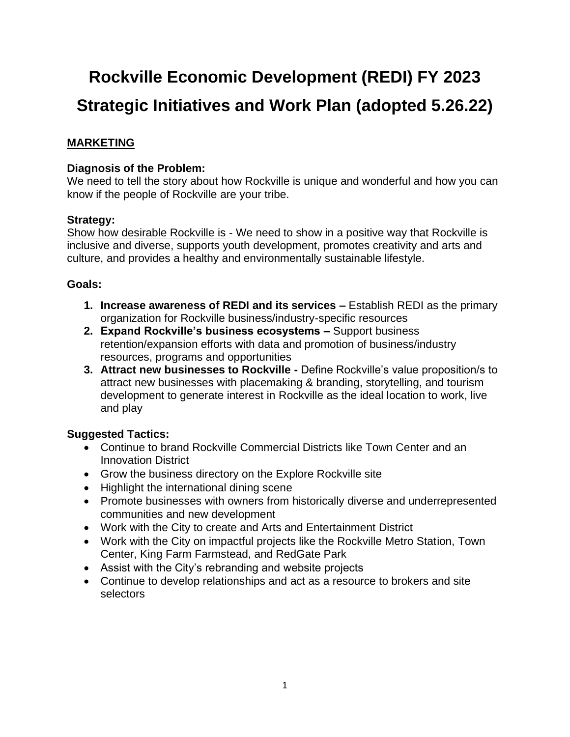# **Rockville Economic Development (REDI) FY 2023 Strategic Initiatives and Work Plan (adopted 5.26.22)**

# **MARKETING**

## **Diagnosis of the Problem:**

We need to tell the story about how Rockville is unique and wonderful and how you can know if the people of Rockville are your tribe.

## **Strategy:**

Show how desirable Rockville is - We need to show in a positive way that Rockville is inclusive and diverse, supports youth development, promotes creativity and arts and culture, and provides a healthy and environmentally sustainable lifestyle.

## **Goals:**

- **1. Increase awareness of REDI and its services –** Establish REDI as the primary organization for Rockville business/industry-specific resources
- **2. Expand Rockville's business ecosystems –** Support business retention/expansion efforts with data and promotion of business/industry resources, programs and opportunities
- **3. Attract new businesses to Rockville -** Define Rockville's value proposition/s to attract new businesses with placemaking & branding, storytelling, and tourism development to generate interest in Rockville as the ideal location to work, live and play

# **Suggested Tactics:**

- Continue to brand Rockville Commercial Districts like Town Center and an Innovation District
- Grow the business directory on the Explore Rockville site
- Highlight the international dining scene
- Promote businesses with owners from historically diverse and underrepresented communities and new development
- Work with the City to create and Arts and Entertainment District
- Work with the City on impactful projects like the Rockville Metro Station, Town Center, King Farm Farmstead, and RedGate Park
- Assist with the City's rebranding and website projects
- Continue to develop relationships and act as a resource to brokers and site selectors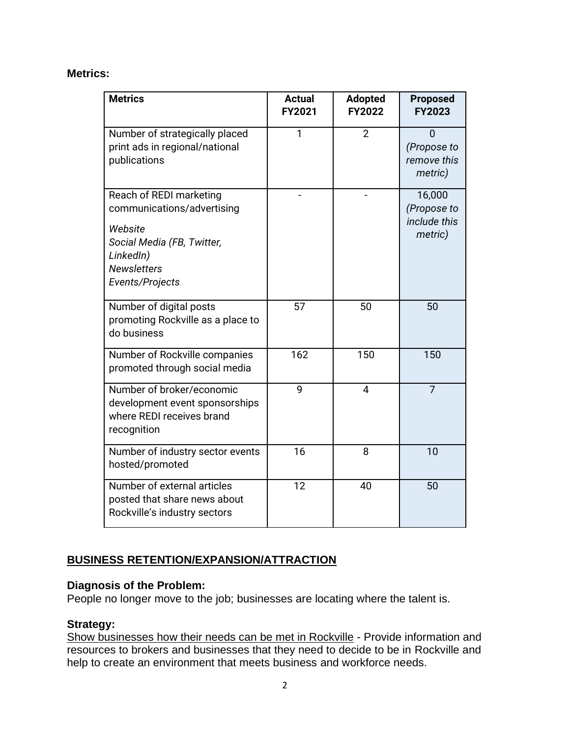#### **Metrics:**

| <b>Metrics</b>                                                                                                                                       | <b>Actual</b><br><b>FY2021</b> | <b>Adopted</b><br><b>FY2022</b> | <b>Proposed</b><br><b>FY2023</b>                 |
|------------------------------------------------------------------------------------------------------------------------------------------------------|--------------------------------|---------------------------------|--------------------------------------------------|
| Number of strategically placed<br>print ads in regional/national<br>publications                                                                     | 1                              | $\overline{2}$                  | 0<br>(Propose to<br>remove this<br>metric)       |
| Reach of REDI marketing<br>communications/advertising<br>Website<br>Social Media (FB, Twitter,<br>LinkedIn)<br><b>Newsletters</b><br>Events/Projects |                                |                                 | 16,000<br>(Propose to<br>include this<br>metric) |
| Number of digital posts<br>promoting Rockville as a place to<br>do business                                                                          | 57                             | 50                              | 50                                               |
| Number of Rockville companies<br>promoted through social media                                                                                       | 162                            | 150                             | 150                                              |
| Number of broker/economic<br>development event sponsorships<br>where REDI receives brand<br>recognition                                              | 9                              | $\overline{4}$                  | $\overline{7}$                                   |
| Number of industry sector events<br>hosted/promoted                                                                                                  | 16                             | 8                               | 10                                               |
| Number of external articles<br>posted that share news about<br>Rockville's industry sectors                                                          | 12                             | 40                              | 50                                               |

# **BUSINESS RETENTION/EXPANSION/ATTRACTION**

#### **Diagnosis of the Problem:**

People no longer move to the job; businesses are locating where the talent is.

## **Strategy:**

Show businesses how their needs can be met in Rockville - Provide information and resources to brokers and businesses that they need to decide to be in Rockville and help to create an environment that meets business and workforce needs.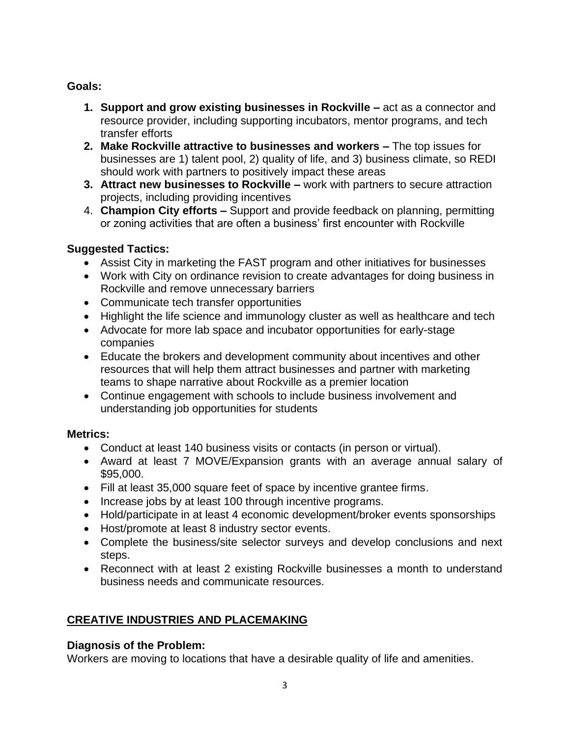## **Goals:**

- **1. Support and grow existing businesses in Rockville –** act as a connector and resource provider, including supporting incubators, mentor programs, and tech transfer efforts
- **2. Make Rockville attractive to businesses and workers –** The top issues for businesses are 1) talent pool, 2) quality of life, and 3) business climate, so REDI should work with partners to positively impact these areas
- **3. Attract new businesses to Rockville –** work with partners to secure attraction projects, including providing incentives
- 4. **Champion City efforts –** Support and provide feedback on planning, permitting or zoning activities that are often a business' first encounter with Rockville

## **Suggested Tactics:**

- Assist City in marketing the FAST program and other initiatives for businesses
- Work with City on ordinance revision to create advantages for doing business in Rockville and remove unnecessary barriers
- Communicate tech transfer opportunities
- Highlight the life science and immunology cluster as well as healthcare and tech
- Advocate for more lab space and incubator opportunities for early-stage companies
- Educate the brokers and development community about incentives and other resources that will help them attract businesses and partner with marketing teams to shape narrative about Rockville as a premier location
- Continue engagement with schools to include business involvement and understanding job opportunities for students

## **Metrics:**

- Conduct at least 140 business visits or contacts (in person or virtual).
- Award at least 7 MOVE/Expansion grants with an average annual salary of \$95,000.
- Fill at least 35,000 square feet of space by incentive grantee firms.
- Increase jobs by at least 100 through incentive programs.
- Hold/participate in at least 4 economic development/broker events sponsorships
- Host/promote at least 8 industry sector events.
- Complete the business/site selector surveys and develop conclusions and next steps.
- Reconnect with at least 2 existing Rockville businesses a month to understand business needs and communicate resources.

# **CREATIVE INDUSTRIES AND PLACEMAKING**

## **Diagnosis of the Problem:**

Workers are moving to locations that have a desirable quality of life and amenities.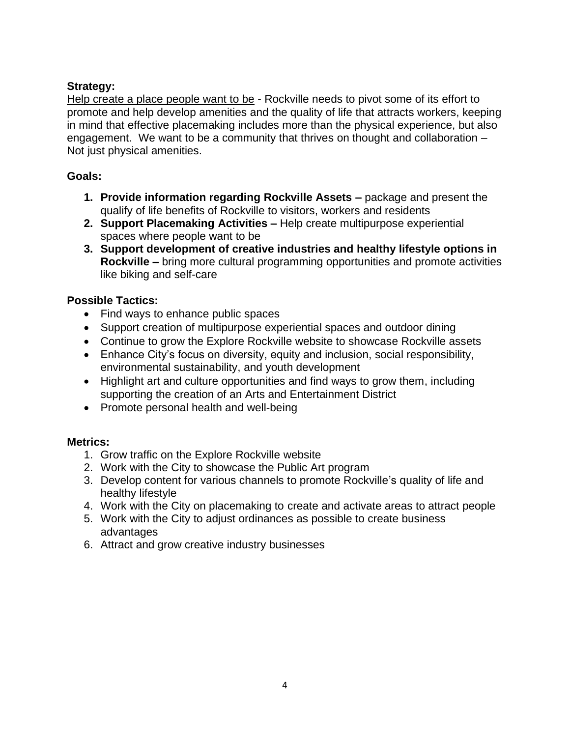## **Strategy:**

Help create a place people want to be - Rockville needs to pivot some of its effort to promote and help develop amenities and the quality of life that attracts workers, keeping in mind that effective placemaking includes more than the physical experience, but also engagement. We want to be a community that thrives on thought and collaboration – Not just physical amenities.

## **Goals:**

- **1. Provide information regarding Rockville Assets –** package and present the qualify of life benefits of Rockville to visitors, workers and residents
- **2. Support Placemaking Activities –** Help create multipurpose experiential spaces where people want to be
- **3. Support development of creative industries and healthy lifestyle options in Rockville –** bring more cultural programming opportunities and promote activities like biking and self-care

## **Possible Tactics:**

- Find ways to enhance public spaces
- Support creation of multipurpose experiential spaces and outdoor dining
- Continue to grow the Explore Rockville website to showcase Rockville assets
- Enhance City's focus on diversity, equity and inclusion, social responsibility, environmental sustainability, and youth development
- Highlight art and culture opportunities and find ways to grow them, including supporting the creation of an Arts and Entertainment District
- Promote personal health and well-being

## **Metrics:**

- 1. Grow traffic on the Explore Rockville website
- 2. Work with the City to showcase the Public Art program
- 3. Develop content for various channels to promote Rockville's quality of life and healthy lifestyle
- 4. Work with the City on placemaking to create and activate areas to attract people
- 5. Work with the City to adjust ordinances as possible to create business advantages
- 6. Attract and grow creative industry businesses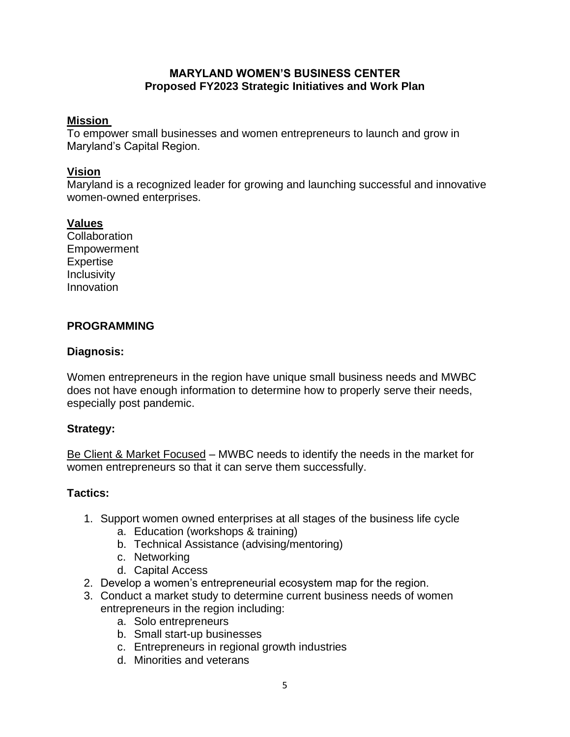#### **MARYLAND WOMEN'S BUSINESS CENTER Proposed FY2023 Strategic Initiatives and Work Plan**

#### **Mission**

To empower small businesses and women entrepreneurs to launch and grow in Maryland's Capital Region.

### **Vision**

Maryland is a recognized leader for growing and launching successful and innovative women-owned enterprises.

#### **Values**

**Collaboration** Empowerment Expertise **Inclusivity** Innovation

## **PROGRAMMING**

#### **Diagnosis:**

Women entrepreneurs in the region have unique small business needs and MWBC does not have enough information to determine how to properly serve their needs, especially post pandemic.

#### **Strategy:**

Be Client & Market Focused – MWBC needs to identify the needs in the market for women entrepreneurs so that it can serve them successfully.

#### **Tactics:**

- 1. Support women owned enterprises at all stages of the business life cycle
	- a. Education (workshops & training)
	- b. Technical Assistance (advising/mentoring)
	- c. Networking
	- d. Capital Access
- 2. Develop a women's entrepreneurial ecosystem map for the region.
- 3. Conduct a market study to determine current business needs of women entrepreneurs in the region including:
	- a. Solo entrepreneurs
	- b. Small start-up businesses
	- c. Entrepreneurs in regional growth industries
	- d. Minorities and veterans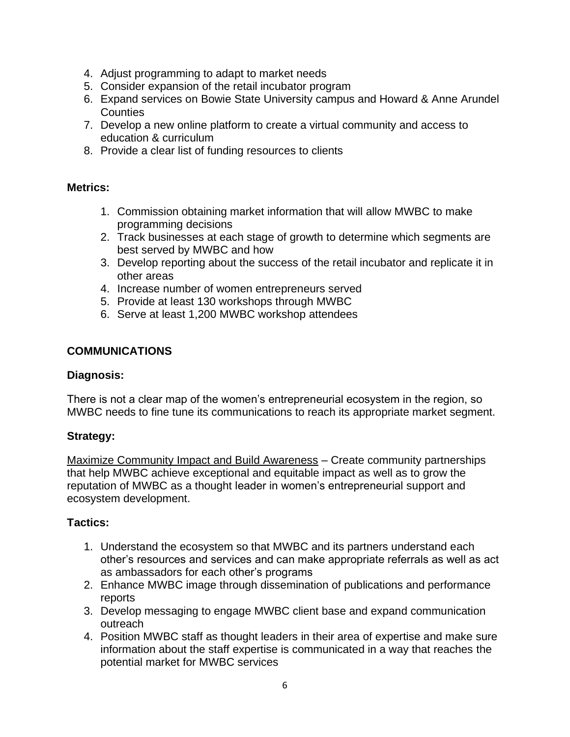- 4. Adjust programming to adapt to market needs
- 5. Consider expansion of the retail incubator program
- 6. Expand services on Bowie State University campus and Howard & Anne Arundel **Counties**
- 7. Develop a new online platform to create a virtual community and access to education & curriculum
- 8. Provide a clear list of funding resources to clients

#### **Metrics:**

- 1. Commission obtaining market information that will allow MWBC to make programming decisions
- 2. Track businesses at each stage of growth to determine which segments are best served by MWBC and how
- 3. Develop reporting about the success of the retail incubator and replicate it in other areas
- 4. Increase number of women entrepreneurs served
- 5. Provide at least 130 workshops through MWBC
- 6. Serve at least 1,200 MWBC workshop attendees

#### **COMMUNICATIONS**

#### **Diagnosis:**

There is not a clear map of the women's entrepreneurial ecosystem in the region, so MWBC needs to fine tune its communications to reach its appropriate market segment.

## **Strategy:**

Maximize Community Impact and Build Awareness – Create community partnerships that help MWBC achieve exceptional and equitable impact as well as to grow the reputation of MWBC as a thought leader in women's entrepreneurial support and ecosystem development.

## **Tactics:**

- 1. Understand the ecosystem so that MWBC and its partners understand each other's resources and services and can make appropriate referrals as well as act as ambassadors for each other's programs
- 2. Enhance MWBC image through dissemination of publications and performance reports
- 3. Develop messaging to engage MWBC client base and expand communication outreach
- 4. Position MWBC staff as thought leaders in their area of expertise and make sure information about the staff expertise is communicated in a way that reaches the potential market for MWBC services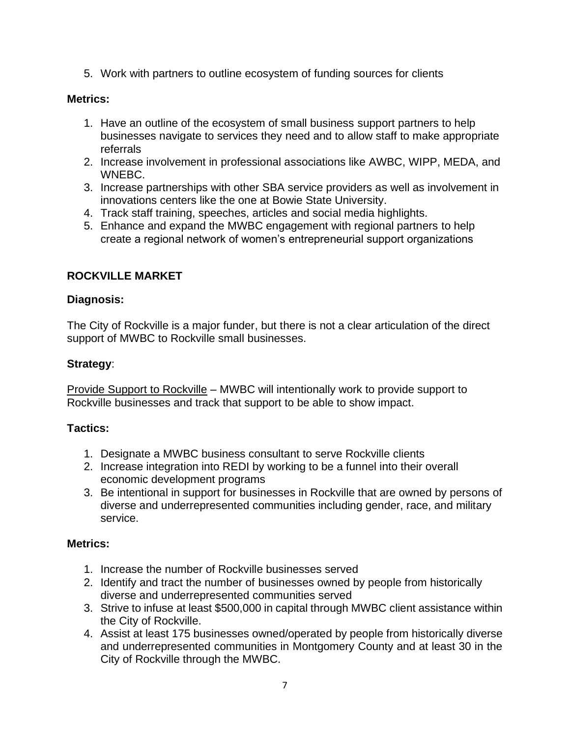5. Work with partners to outline ecosystem of funding sources for clients

#### **Metrics:**

- 1. Have an outline of the ecosystem of small business support partners to help businesses navigate to services they need and to allow staff to make appropriate referrals
- 2. Increase involvement in professional associations like AWBC, WIPP, MEDA, and WNEBC.
- 3. Increase partnerships with other SBA service providers as well as involvement in innovations centers like the one at Bowie State University.
- 4. Track staff training, speeches, articles and social media highlights.
- 5. Enhance and expand the MWBC engagement with regional partners to help create a regional network of women's entrepreneurial support organizations

#### **ROCKVILLE MARKET**

#### **Diagnosis:**

The City of Rockville is a major funder, but there is not a clear articulation of the direct support of MWBC to Rockville small businesses.

#### **Strategy**:

Provide Support to Rockville – MWBC will intentionally work to provide support to Rockville businesses and track that support to be able to show impact.

#### **Tactics:**

- 1. Designate a MWBC business consultant to serve Rockville clients
- 2. Increase integration into REDI by working to be a funnel into their overall economic development programs
- 3. Be intentional in support for businesses in Rockville that are owned by persons of diverse and underrepresented communities including gender, race, and military service.

#### **Metrics:**

- 1. Increase the number of Rockville businesses served
- 2. Identify and tract the number of businesses owned by people from historically diverse and underrepresented communities served
- 3. Strive to infuse at least \$500,000 in capital through MWBC client assistance within the City of Rockville.
- 4. Assist at least 175 businesses owned/operated by people from historically diverse and underrepresented communities in Montgomery County and at least 30 in the City of Rockville through the MWBC.